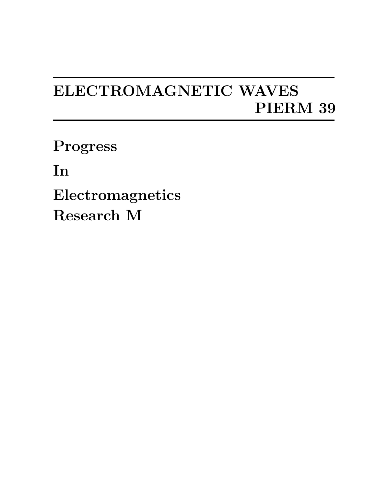## ELECTROMAGNETIC WAVES PIERM 39

Progress

In

Electromagnetics Research M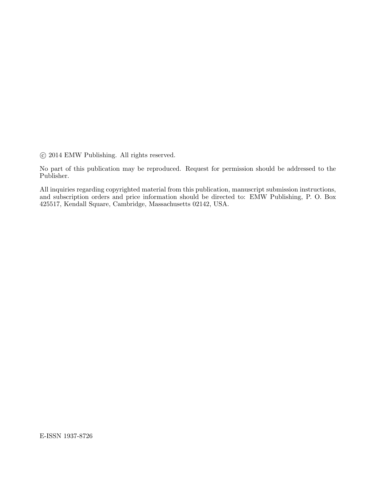°c 2014 EMW Publishing. All rights reserved.

No part of this publication may be reproduced. Request for permission should be addressed to the Publisher.

All inquiries regarding copyrighted material from this publication, manuscript submission instructions, and subscription orders and price information should be directed to: EMW Publishing, P. O. Box 425517, Kendall Square, Cambridge, Massachusetts 02142, USA.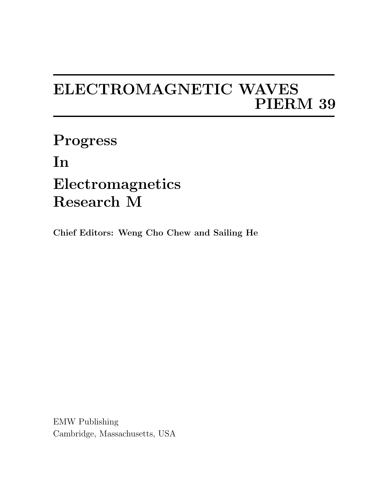## ELECTROMAGNETIC WAVES PIERM 39

Progress In Electromagnetics Research M

Chief Editors: Weng Cho Chew and Sailing He

EMW Publishing Cambridge, Massachusetts, USA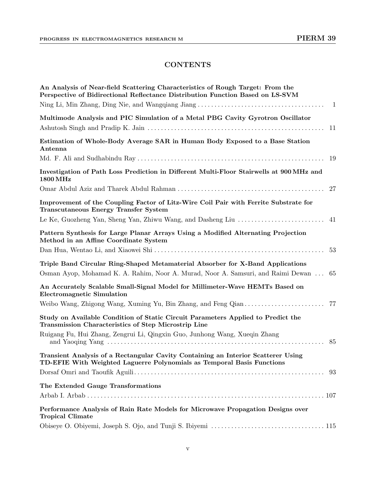## **CONTENTS**

| An Analysis of Near-field Scattering Characteristics of Rough Target: From the<br>Perspective of Bidirectional Reflectance Distribution Function Based on LS-SVM          |
|---------------------------------------------------------------------------------------------------------------------------------------------------------------------------|
| $\overline{1}$                                                                                                                                                            |
| Multimode Analysis and PIC Simulation of a Metal PBG Cavity Gyrotron Oscillator<br>11                                                                                     |
| Estimation of Whole-Body Average SAR in Human Body Exposed to a Base Station<br>Antenna                                                                                   |
|                                                                                                                                                                           |
| Investigation of Path Loss Prediction in Different Multi-Floor Stairwells at 900 MHz and<br><b>1800 MHz</b>                                                               |
|                                                                                                                                                                           |
| Improvement of the Coupling Factor of Litz-Wire Coil Pair with Ferrite Substrate for<br><b>Transcutaneous Energy Transfer System</b>                                      |
|                                                                                                                                                                           |
| Pattern Synthesis for Large Planar Arrays Using a Modified Alternating Projection<br>Method in an Affine Coordinate System                                                |
| 53                                                                                                                                                                        |
| Triple Band Circular Ring-Shaped Metamaterial Absorber for X-Band Applications<br>Osman Ayop, Mohamad K. A. Rahim, Noor A. Murad, Noor A. Samsuri, and Raimi Dewan<br>-65 |
| An Accurately Scalable Small-Signal Model for Millimeter-Wave HEMTs Based on<br><b>Electromagnetic Simulation</b>                                                         |
|                                                                                                                                                                           |
| Study on Available Condition of Static Circuit Parameters Applied to Predict the<br>Transmission Characteristics of Step Microstrip Line                                  |
| Ruigang Fu, Hui Zhang, Zengrui Li, Qingxin Guo, Junhong Wang, Xueqin Zhang                                                                                                |
| Transient Analysis of a Rectangular Cavity Containing an Interior Scatterer Using<br>TD-EFIE With Weighted Laguerre Polynomials as Temporal Basis Functions               |
| 93                                                                                                                                                                        |
| The Extended Gauge Transformations                                                                                                                                        |
|                                                                                                                                                                           |
| Performance Analysis of Rain Rate Models for Microwave Propagation Designs over<br><b>Tropical Climate</b>                                                                |
|                                                                                                                                                                           |